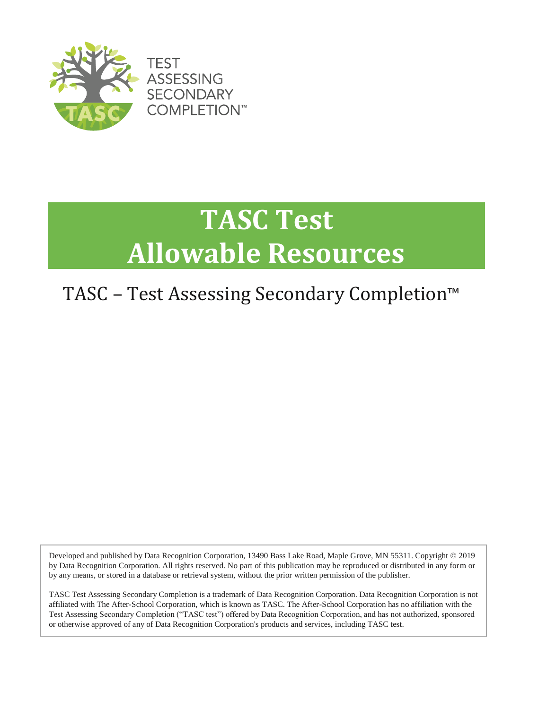

# **TASC Test Allowable Resources**

### TASC – Test Assessing Secondary Completion™

Developed and published by Data Recognition Corporation, 13490 Bass Lake Road, Maple Grove, MN 55311. Copyright © 2019 by Data Recognition Corporation. All rights reserved. No part of this publication may be reproduced or distributed in any form or by any means, or stored in a database or retrieval system, without the prior written permission of the publisher.

TASC Test Assessing Secondary Completion is a trademark of Data Recognition Corporation. Data Recognition Corporation is not affiliated with The After-School Corporation, which is known as TASC. The After-School Corporation has no affiliation with the Test Assessing Secondary Completion ("TASC test") offered by Data Recognition Corporation, and has not authorized, sponsored or otherwise approved of any of Data Recognition Corporation's products and services, including TASC test.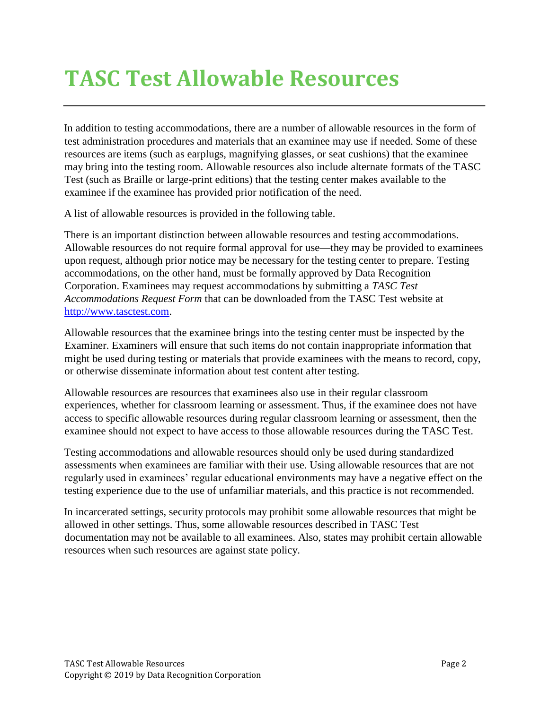## **TASC Test Allowable Resources**

In addition to testing accommodations, there are a number of allowable resources in the form of test administration procedures and materials that an examinee may use if needed. Some of these resources are items (such as earplugs, magnifying glasses, or seat cushions) that the examinee may bring into the testing room. Allowable resources also include alternate formats of the TASC Test (such as Braille or large-print editions) that the testing center makes available to the examinee if the examinee has provided prior notification of the need.

A list of allowable resources is provided in the following table.

There is an important distinction between allowable resources and testing accommodations. Allowable resources do not require formal approval for use—they may be provided to examinees upon request, although prior notice may be necessary for the testing center to prepare. Testing accommodations, on the other hand, must be formally approved by Data Recognition Corporation. Examinees may request accommodations by submitting a *TASC Test Accommodations Request Form* that can be downloaded from the TASC Test website at [http://www.tasctest.com.](http://www.tasctest.com/special-needs-accommodations.html) 

Allowable resources that the examinee brings into the testing center must be inspected by the Examiner. Examiners will ensure that such items do not contain inappropriate information that might be used during testing or materials that provide examinees with the means to record, copy, or otherwise disseminate information about test content after testing.

Allowable resources are resources that examinees also use in their regular classroom experiences, whether for classroom learning or assessment. Thus, if the examinee does not have access to specific allowable resources during regular classroom learning or assessment, then the examinee should not expect to have access to those allowable resources during the TASC Test.

Testing accommodations and allowable resources should only be used during standardized assessments when examinees are familiar with their use. Using allowable resources that are not regularly used in examinees' regular educational environments may have a negative effect on the testing experience due to the use of unfamiliar materials, and this practice is not recommended.

In incarcerated settings, security protocols may prohibit some allowable resources that might be allowed in other settings. Thus, some allowable resources described in TASC Test documentation may not be available to all examinees. Also, states may prohibit certain allowable resources when such resources are against state policy.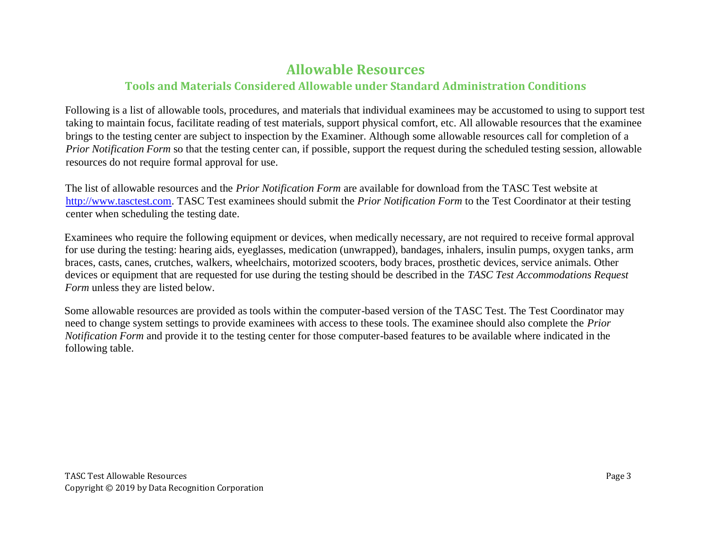### **Allowable Resources**

#### **Tools and Materials Considered Allowable under Standard Administration Conditions**

Following is a list of allowable tools, procedures, and materials that individual examinees may be accustomed to using to support test taking to maintain focus, facilitate reading of test materials, support physical comfort, etc. All allowable resources that the examinee brings to the testing center are subject to inspection by the Examiner. Although some allowable resources call for completion of a *Prior Notification Form* so that the testing center can, if possible, support the request during the scheduled testing session, allowable resources do not require formal approval for use.

The list of allowable resources and the *Prior Notification Form* are available for download from the TASC Test website at [http://www.tasctest.com.](http://www.tasctest.com/special-needs-accommodations.html) TASC Test examinees should submit the *Prior Notification Form* to the Test Coordinator at their testing center when scheduling the testing date.

Examinees who require the following equipment or devices, when medically necessary, are not required to receive formal approval for use during the testing: hearing aids, eyeglasses, medication (unwrapped), bandages, inhalers, insulin pumps, oxygen tanks, arm braces, casts, canes, crutches, walkers, wheelchairs, motorized scooters, body braces, prosthetic devices, service animals. Other devices or equipment that are requested for use during the testing should be described in the *TASC Test Accommodations Request Form* unless they are listed below.

Some allowable resources are provided as tools within the computer-based version of the TASC Test. The Test Coordinator may need to change system settings to provide examinees with access to these tools. The examinee should also complete the *Prior Notification Form* and provide it to the testing center for those computer-based features to be available where indicated in the following table.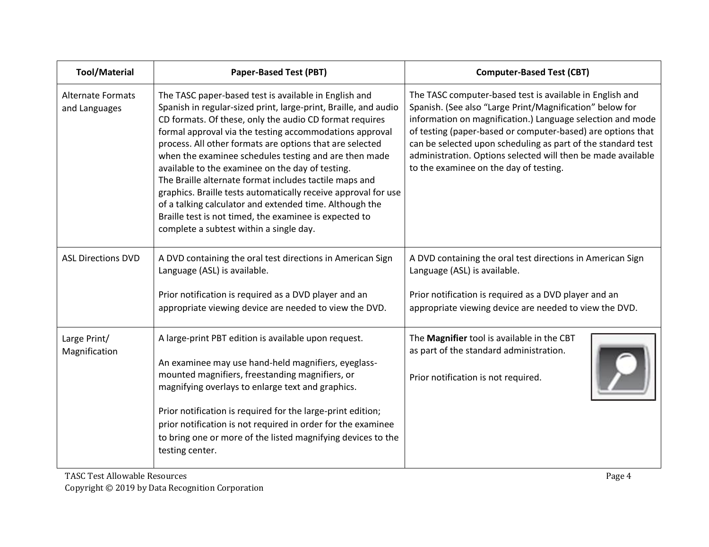| <b>Tool/Material</b>                      | <b>Paper-Based Test (PBT)</b>                                                                                                                                                                                                                                                                                                                                                                                                                                                                                                                                                                                                                                                                                       | <b>Computer-Based Test (CBT)</b>                                                                                                                                                                                                                                                                                                                                                                                            |
|-------------------------------------------|---------------------------------------------------------------------------------------------------------------------------------------------------------------------------------------------------------------------------------------------------------------------------------------------------------------------------------------------------------------------------------------------------------------------------------------------------------------------------------------------------------------------------------------------------------------------------------------------------------------------------------------------------------------------------------------------------------------------|-----------------------------------------------------------------------------------------------------------------------------------------------------------------------------------------------------------------------------------------------------------------------------------------------------------------------------------------------------------------------------------------------------------------------------|
| <b>Alternate Formats</b><br>and Languages | The TASC paper-based test is available in English and<br>Spanish in regular-sized print, large-print, Braille, and audio<br>CD formats. Of these, only the audio CD format requires<br>formal approval via the testing accommodations approval<br>process. All other formats are options that are selected<br>when the examinee schedules testing and are then made<br>available to the examinee on the day of testing.<br>The Braille alternate format includes tactile maps and<br>graphics. Braille tests automatically receive approval for use<br>of a talking calculator and extended time. Although the<br>Braille test is not timed, the examinee is expected to<br>complete a subtest within a single day. | The TASC computer-based test is available in English and<br>Spanish. (See also "Large Print/Magnification" below for<br>information on magnification.) Language selection and mode<br>of testing (paper-based or computer-based) are options that<br>can be selected upon scheduling as part of the standard test<br>administration. Options selected will then be made available<br>to the examinee on the day of testing. |
| <b>ASL Directions DVD</b>                 | A DVD containing the oral test directions in American Sign<br>Language (ASL) is available.<br>Prior notification is required as a DVD player and an<br>appropriate viewing device are needed to view the DVD.                                                                                                                                                                                                                                                                                                                                                                                                                                                                                                       | A DVD containing the oral test directions in American Sign<br>Language (ASL) is available.<br>Prior notification is required as a DVD player and an<br>appropriate viewing device are needed to view the DVD.                                                                                                                                                                                                               |
| Large Print/<br>Magnification             | A large-print PBT edition is available upon request.<br>An examinee may use hand-held magnifiers, eyeglass-<br>mounted magnifiers, freestanding magnifiers, or<br>magnifying overlays to enlarge text and graphics.<br>Prior notification is required for the large-print edition;<br>prior notification is not required in order for the examinee<br>to bring one or more of the listed magnifying devices to the<br>testing center.                                                                                                                                                                                                                                                                               | The Magnifier tool is available in the CBT<br>as part of the standard administration.<br>Prior notification is not required.                                                                                                                                                                                                                                                                                                |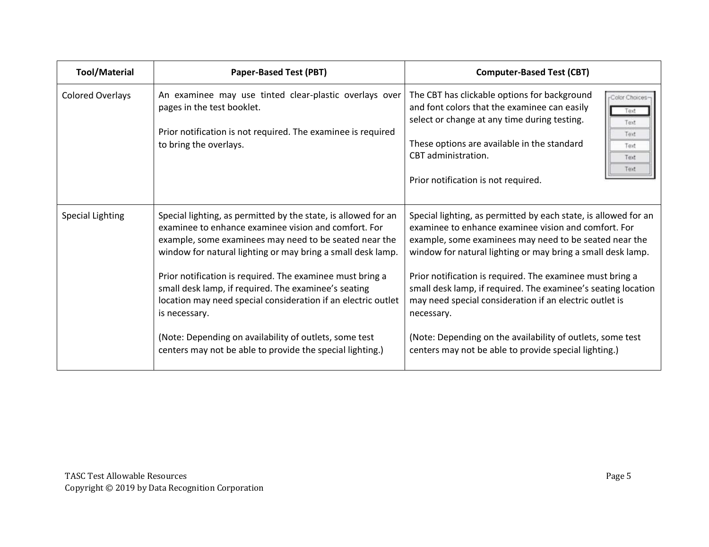| <b>Tool/Material</b>    | <b>Paper-Based Test (PBT)</b>                                                                                                                                                                                                                   | <b>Computer-Based Test (CBT)</b>                                                                                                                                                                                                                                                                                             |
|-------------------------|-------------------------------------------------------------------------------------------------------------------------------------------------------------------------------------------------------------------------------------------------|------------------------------------------------------------------------------------------------------------------------------------------------------------------------------------------------------------------------------------------------------------------------------------------------------------------------------|
| <b>Colored Overlays</b> | An examinee may use tinted clear-plastic overlays over<br>pages in the test booklet.<br>Prior notification is not required. The examinee is required<br>to bring the overlays.                                                                  | The CBT has clickable options for background<br>rColor Choices-<br>and font colors that the examinee can easily<br>Text<br>select or change at any time during testing.<br>Text<br>Text<br>These options are available in the standard<br>Text<br>CBT administration.<br>Text<br>Text<br>Prior notification is not required. |
| <b>Special Lighting</b> | Special lighting, as permitted by the state, is allowed for an<br>examinee to enhance examinee vision and comfort. For<br>example, some examinees may need to be seated near the<br>window for natural lighting or may bring a small desk lamp. | Special lighting, as permitted by each state, is allowed for an<br>examinee to enhance examinee vision and comfort. For<br>example, some examinees may need to be seated near the<br>window for natural lighting or may bring a small desk lamp.                                                                             |
|                         | Prior notification is required. The examinee must bring a<br>small desk lamp, if required. The examinee's seating<br>location may need special consideration if an electric outlet<br>is necessary.                                             | Prior notification is required. The examinee must bring a<br>small desk lamp, if required. The examinee's seating location<br>may need special consideration if an electric outlet is<br>necessary.                                                                                                                          |
|                         | (Note: Depending on availability of outlets, some test<br>centers may not be able to provide the special lighting.)                                                                                                                             | (Note: Depending on the availability of outlets, some test<br>centers may not be able to provide special lighting.)                                                                                                                                                                                                          |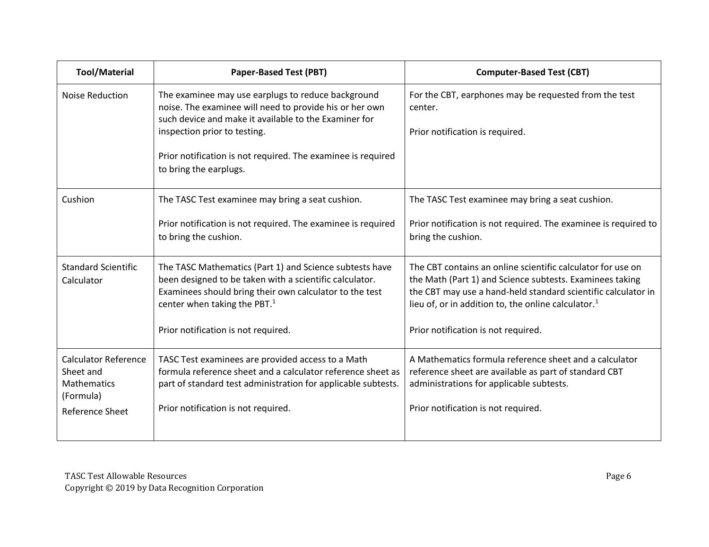| <b>Tool/Material</b>                                                                                  | <b>Paper-Based Test (PBT)</b>                                                                                                                                                                                                                                                                    | <b>Computer-Based Test (CBT)</b>                                                                                                                                                                                                                                                                   |
|-------------------------------------------------------------------------------------------------------|--------------------------------------------------------------------------------------------------------------------------------------------------------------------------------------------------------------------------------------------------------------------------------------------------|----------------------------------------------------------------------------------------------------------------------------------------------------------------------------------------------------------------------------------------------------------------------------------------------------|
| <b>Noise Reduction</b>                                                                                | The examinee may use earplugs to reduce background<br>noise. The examinee will need to provide his or her own<br>such device and make it available to the Examiner for<br>inspection prior to testing.<br>Prior notification is not required. The examinee is required<br>to bring the earplugs. | For the CBT, earphones may be requested from the test<br>center.<br>Prior notification is required.                                                                                                                                                                                                |
| Cushion                                                                                               | The TASC Test examinee may bring a seat cushion.<br>Prior notification is not required. The examinee is required<br>to bring the cushion.                                                                                                                                                        | The TASC Test examinee may bring a seat cushion.<br>Prior notification is not required. The examinee is required to<br>bring the cushion.                                                                                                                                                          |
| Standard Scientific<br>Calculator                                                                     | The TASC Mathematics (Part 1) and Science subtests have<br>been designed to be taken with a scientific calculator.<br>Examinees should bring their own calculator to the test<br>center when taking the PBT. <sup>1</sup><br>Prior notification is not required.                                 | The CBT contains an online scientific calculator for use on<br>the Math (Part 1) and Science subtests. Examinees taking<br>the CBT may use a hand-held standard scientific calculator in<br>lieu of, or in addition to, the online calculator. <sup>1</sup><br>Prior notification is not required. |
| <b>Calculator Reference</b><br>Sheet and<br><b>Mathematics</b><br>(Formula)<br><b>Reference Sheet</b> | TASC Test examinees are provided access to a Math<br>formula reference sheet and a calculator reference sheet as<br>part of standard test administration for applicable subtests.<br>Prior notification is not required.                                                                         | A Mathematics formula reference sheet and a calculator<br>reference sheet are available as part of standard CBT<br>administrations for applicable subtests.<br>Prior notification is not required.                                                                                                 |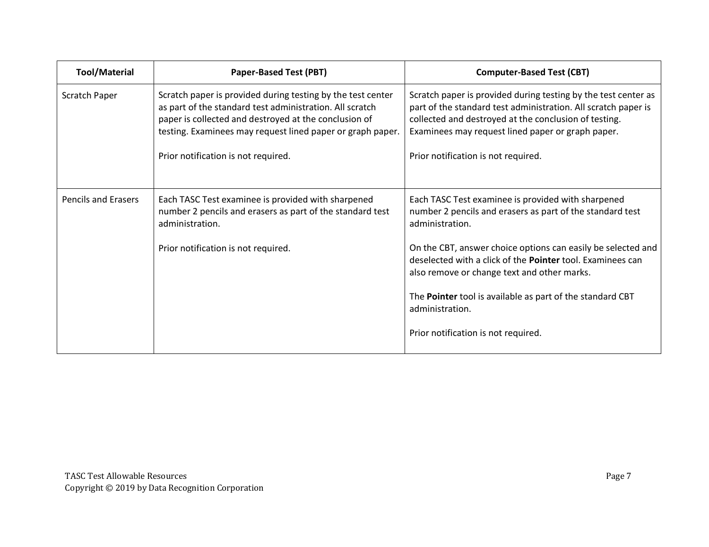| <b>Tool/Material</b>       | <b>Paper-Based Test (PBT)</b>                                                                                                                                                                                                                  | <b>Computer-Based Test (CBT)</b>                                                                                                                                                                                                               |
|----------------------------|------------------------------------------------------------------------------------------------------------------------------------------------------------------------------------------------------------------------------------------------|------------------------------------------------------------------------------------------------------------------------------------------------------------------------------------------------------------------------------------------------|
| Scratch Paper              | Scratch paper is provided during testing by the test center<br>as part of the standard test administration. All scratch<br>paper is collected and destroyed at the conclusion of<br>testing. Examinees may request lined paper or graph paper. | Scratch paper is provided during testing by the test center as<br>part of the standard test administration. All scratch paper is<br>collected and destroyed at the conclusion of testing.<br>Examinees may request lined paper or graph paper. |
|                            | Prior notification is not required.                                                                                                                                                                                                            | Prior notification is not required.                                                                                                                                                                                                            |
| <b>Pencils and Erasers</b> | Each TASC Test examinee is provided with sharpened<br>number 2 pencils and erasers as part of the standard test<br>administration.                                                                                                             | Each TASC Test examinee is provided with sharpened<br>number 2 pencils and erasers as part of the standard test<br>administration.                                                                                                             |
|                            | Prior notification is not required.                                                                                                                                                                                                            | On the CBT, answer choice options can easily be selected and<br>deselected with a click of the Pointer tool. Examinees can<br>also remove or change text and other marks.                                                                      |
|                            |                                                                                                                                                                                                                                                | The Pointer tool is available as part of the standard CBT<br>administration.                                                                                                                                                                   |
|                            |                                                                                                                                                                                                                                                | Prior notification is not required.                                                                                                                                                                                                            |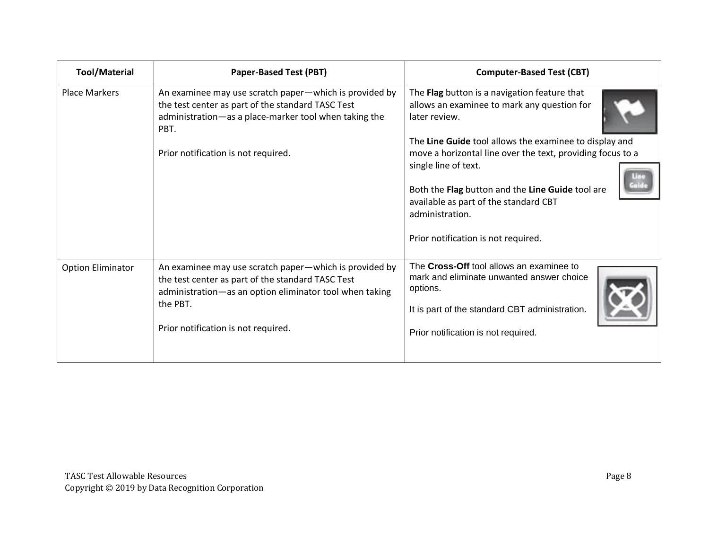| <b>Tool/Material</b>     | <b>Paper-Based Test (PBT)</b>                                                                                                                                                                                             | <b>Computer-Based Test (CBT)</b>                                                                                                                                                                                                                                                                                                                                                                                    |
|--------------------------|---------------------------------------------------------------------------------------------------------------------------------------------------------------------------------------------------------------------------|---------------------------------------------------------------------------------------------------------------------------------------------------------------------------------------------------------------------------------------------------------------------------------------------------------------------------------------------------------------------------------------------------------------------|
| <b>Place Markers</b>     | An examinee may use scratch paper-which is provided by<br>the test center as part of the standard TASC Test<br>administration-as a place-marker tool when taking the<br>PBT.<br>Prior notification is not required.       | The Flag button is a navigation feature that<br>allows an examinee to mark any question for<br>later review.<br>The Line Guide tool allows the examinee to display and<br>move a horizontal line over the text, providing focus to a<br>single line of text.<br>Both the Flag button and the Line Guide tool are<br>available as part of the standard CBT<br>administration.<br>Prior notification is not required. |
| <b>Option Eliminator</b> | An examinee may use scratch paper-which is provided by<br>the test center as part of the standard TASC Test<br>administration-as an option eliminator tool when taking<br>the PBT.<br>Prior notification is not required. | The Cross-Off tool allows an examinee to<br>mark and eliminate unwanted answer choice<br>options.<br>It is part of the standard CBT administration.<br>Prior notification is not required.                                                                                                                                                                                                                          |